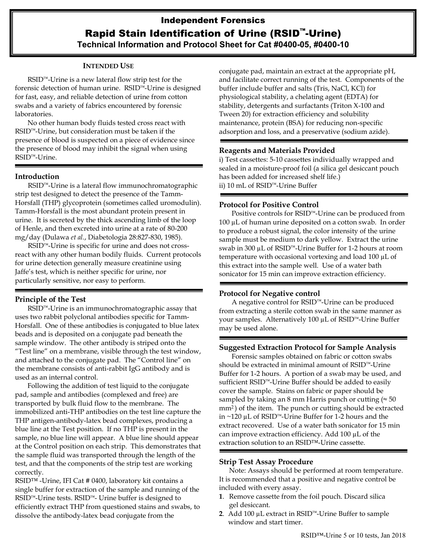# Independent Forensics Rapid Stain Identification of Urine (RSID™-Urine) **Technical Information and Protocol Sheet for Cat #0400-05, #0400-10**

## **INTENDED USE**

RSID™-Urine is a new lateral flow strip test for the forensic detection of human urine. RSID™-Urine is designed for fast, easy, and reliable detection of urine from cotton swabs and a variety of fabrics encountered by forensic laboratories.

No other human body fluids tested cross react with RSID™-Urine, but consideration must be taken if the presence of blood is suspected on a piece of evidence since the presence of blood may inhibit the signal when using RSID™-Urine.

### **Introduction**

RSID™-Urine is a lateral flow immunochromatographic strip test designed to detect the presence of the Tamm-Horsfall (THP) glycoprotein (sometimes called uromodulin). Tamm-Horsfall is the most abundant protein present in urine. It is secreted by the thick ascending limb of the loop of Henle, and then excreted into urine at a rate of 80-200 mg/day (Dulawa *et al.*, Diabetologia 28:827-830, 1985).

RSID<sup>™</sup>-Urine is specific for urine and does not crossreact with any other human bodily fluids. Current protocols for urine detection generally measure creatinine using Jaffe's test, which is neither specific for urine, nor particularly sensitive, nor easy to perform.

## **Principle of the Test**

RSID™-Urine is an immunochromatographic assay that uses two rabbit polyclonal antibodies specific for Tamm-Horsfall. One of these antibodies is conjugated to blue latex beads and is deposited on a conjugate pad beneath the sample window. The other antibody is striped onto the "Test line" on a membrane, visible through the test window, and attached to the conjugate pad. The "Control line" on the membrane consists of anti-rabbit IgG antibody and is used as an internal control.

Following the addition of test liquid to the conjugate pad, sample and antibodies (complexed and free) are transported by bulk fluid flow to the membrane. The immobilized anti-THP antibodies on the test line capture the THP antigen-antibody-latex bead complexes, producing a blue line at the Test position. If no THP is present in the sample, no blue line will appear. A blue line should appear at the Control position on each strip. This demonstrates that the sample fluid was transported through the length of the test, and that the components of the strip test are working correctly.

RSID™ -Urine, IFI Cat # 0400, laboratory kit contains a single buffer for extraction of the sample and running of the RSID™-Urine tests. RSID™- Urine buffer is designed to efficiently extract THP from questioned stains and swabs, to dissolve the antibody-latex bead conjugate from the

conjugate pad, maintain an extract at the appropriate pH, and facilitate correct running of the test. Components of the buffer include buffer and salts (Tris, NaCl, KCl) for physiological stability, a chelating agent (EDTA) for stability, detergents and surfactants (Triton X-100 and Tween 20) for extraction efficiency and solubility maintenance, protein (BSA) for reducing non-specific adsorption and loss, and a preservative (sodium azide).

#### **Reagents and Materials Provided**

i) Test cassettes: 5-10 cassettes individually wrapped and sealed in a moisture-proof foil (a silica gel desiccant pouch has been added for increased shelf life.) ii) 10 mL of RSID™-Urine Buffer

### **Protocol for Positive Control**

Positive controls for RSID™-Urine can be produced from 100 µL of human urine deposited on a cotton swab. In order to produce a robust signal, the color intensity of the urine sample must be medium to dark yellow. Extract the urine swab in 300 µL of RSID™-Urine Buffer for 1-2 hours at room temperature with occasional vortexing and load 100 µL of this extract into the sample well. Use of a water bath sonicator for 15 min can improve extraction efficiency.

#### **Protocol for Negative control**

A negative control for RSID™-Urine can be produced from extracting a sterile cotton swab in the same manner as your samples. Alternatively 100 µL of RSID™-Urine Buffer may be used alone.

## **Suggested Extraction Protocol for Sample Analysis**

Forensic samples obtained on fabric or cotton swabs should be extracted in minimal amount of RSID™-Urine Buffer for 1-2 hours. A portion of a swab may be used, and sufficient RSID™-Urine Buffer should be added to easily cover the sample. Stains on fabric or paper should be sampled by taking an 8 mm Harris punch or cutting ( $\approx$  50 mm<sup>2</sup> ) of the item. The punch or cutting should be extracted in ~120 µL of RSID™-Urine Buffer for 1-2 hours and the extract recovered. Use of a water bath sonicator for 15 min can improve extraction efficiency. Add 100 µL of the extraction solution to an RSID™-Urine cassette.

#### **Strip Test Assay Procedure**

Note: Assays should be performed at room temperature. It is recommended that a positive and negative control be included with every assay.

- **1**. Remove cassette from the foil pouch. Discard silica gel desiccant.
- **2**. Add 100 µL extract in RSID™-Urine Buffer to sample window and start timer.